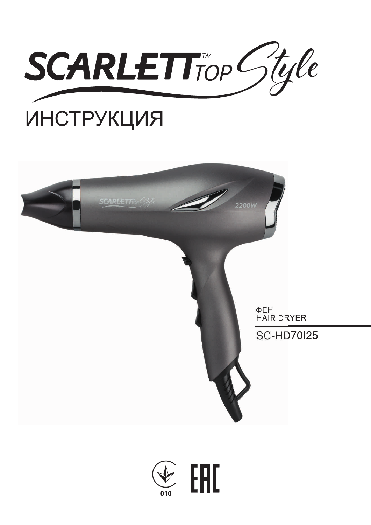

# ИНСТРУКЦИЯ



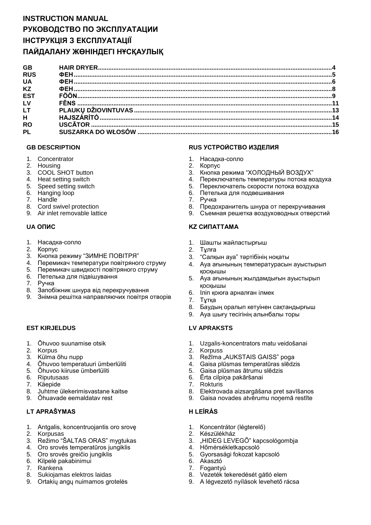# **INSTRUCTION MANUAL РУКОВОДСТВО ПО ЭКСПЛУАТАЦИИ ІНСТРУКЦІЯ З ЕКСПЛУАТАЦІЇ ПАЙДАЛАНУ ЖӨНІНДЕГІ НҰСҚАУЛЫҚ**

| GB             |  |
|----------------|--|
| <b>RUS</b>     |  |
| <b>UA</b>      |  |
| <b>KZ</b>      |  |
| <b>EST</b>     |  |
| LV             |  |
| LT.            |  |
| $\overline{H}$ |  |
| <b>RO</b>      |  |
| <b>PL</b>      |  |
|                |  |

- 1. Concentrator
- 2. Housing
- 3. COOL SHOT button
- 4. Heat setting switch
- 5. Speed setting switch
- 6. Hanging loop
- 7. Handle
- 8. Cord swivel protection
- 9. Air inlet removable lattice

- 1. Насадка-сопло
- 2. Корпус
- 3. Кнопка режиму "ЗИМНЕ ПОВІТРЯ"
- 4. Перемикач температури повітряного струму
- 5. Перемикач швидкості повітряного струму
- 6. Петелька для підвішування
- 7. Ручка
- 8. Запобіжник шнура від перекручування
- 9. Знімна решітка направляючих повітря отворів

#### **EST KIRJELDUS LV APRAKSTS**

- 1. Õhuvoo suunamise otsik
- 2. Korpus
- 3. Külma õhu nupp
- 4. Õhuvoo temperatuuri ümberlüliti
- 5. Õhuvoo kiiruse ümberlüliti
- 6. Riputusaas
- 7. Käepide
- 8. Juhtme ülekerimisvastane kaitse
- 9. Õhuavade eemaldatav rest

## **LT APRAŠYMAS H LEÍRÁS**

- 1. Antgalis, koncentruojantis oro srovę
- 2. Korpusas
- 3. Režimo "ŠALTAS ORAS" mygtukas
- 4. Oro srovės temperatūros jungiklis
- 5. Oro srovės greičio jungiklis
- 6. Kilpelė pakabinimui
- 7. Rankena
- 8. Sukiojamas elektros laidas
- 9. Ortakių angų nuimamos grotelės

#### **GB DESCRIPTION RUS УСТРОЙСТВО ИЗДЕЛИЯ**

- 1. Насадка-сопло
- 2. Корпус
- 3. Кнопка режима "ХОЛОДНЫЙ ВОЗДУХ"
- 4. Переключатель температуры потока воздуха
- 5. Переключатель скорости потока воздуха
- 6. Петелька для подвешивания
- 7. Ручка
- 8. Предохранитель шнура от перекручивания
- 9. Съемная решетка воздуховодных отверстий

## **UA ОПИС KZ СИПАТТАМА**

- 1. Шашты жайластырғыш
- 2. Тұлға
- 3. "Салқын ауа" тәртібінің ноқаты
- 4. Ауа ағынының температурасын ауыстырып қосқышы
- 5. Ауа ағынының жылдамдығын ауыстырып қосқышы
- 6. Іліп қоюға арналған ілмек
- 7. Тұтқа
- 8. Баудың оралып кетуінен сақтандырғыш
- 9. Ауа шығу тесігінің алынбалы торы

- 1. Uzgalis-koncentrators matu veidošanai
- 2. Korpuss
- 3. Režīma "AUKSTAIS GAISS" poga
- 4. Gaisa plūsmas temperatūras slēdzis
- 5. Gaisa plūsmas ātrumu slēdzis
- 6. Ērta cilpiņa pakāršanai
- 7. Rokturis
- 8. Elektrovada aizsargāšana pret savīšanos
- 9. Gaisa novades atvērumu noņemā restīte

- 1. Koncentrátor (légterelő)
- 2. Készülékház
- 3. "HIDEG LEVEGŐ" kapcsológombja
- 4. Hőmérsékletkapcsoló
- 5. Gyorsasági fokozat kapcsoló
- 6. Akasztó
- 7. Fogantyú
- 8. Vezeték tekeredését gátló elem
- 9. A légvezető nyílások levehető rácsa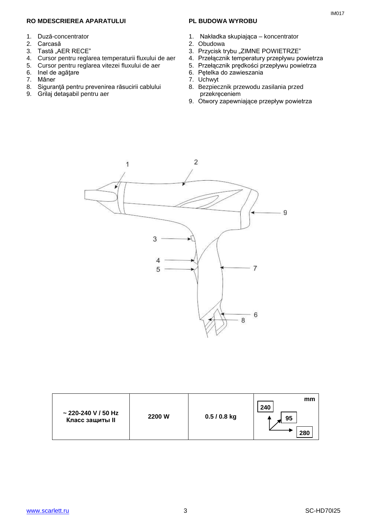#### **RO MDESCRIEREA APARATULUI**

- 1. Duză-concentrator
- 2. Carcasă
- 3. Tastă "AER RECE"
- 4. Cursor pentru reglarea temperaturii fluxului de aer
- 5. Cursor pentru reglarea vitezei fluxului de aer
- 6. Inel de agăţare
- 7. Mâner
- 8. Siguranţă pentru prevenirea răsucirii cablului
- 9. Grilaj detaşabil pentru aer

#### **PL BUDOWA WYROBU**

- 1. Nakładka skupiająca koncentrator
- 2. Obudowa
- 3. Przycisk trybu "ZIMNE POWIETRZE"
- 4. Przełącznik temperatury przepływu powietrza
- 5. Przełącznik prędkości przepływu powietrza
- 6. Pętelka do zawieszania
- 7. Uchwyt
- 8. Bezpiecznik przewodu zasilania przed przekręceniem
- 9. Otwory zapewniające przepływ powietrza



| ~ 220-240 V / 50 Hz<br><b>Класс защиты II</b> | 2200 W | $0.5/0.8$ kg | mm<br>240<br>95 |
|-----------------------------------------------|--------|--------------|-----------------|
|                                               |        |              | 28              |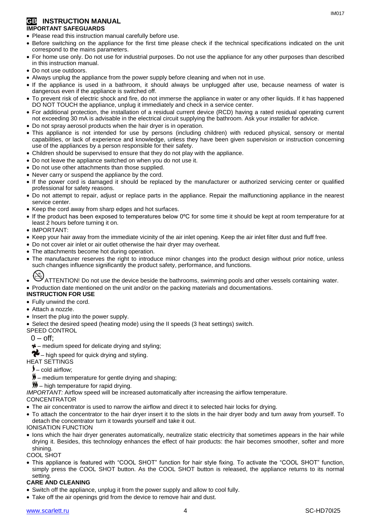#### **GB INSTRUCTION MANUAL IMPORTANT SAFEGUARDS**

- Please read this instruction manual carefully before use.
- Before switching on the appliance for the first time please check if the technical specifications indicated on the unit correspond to the mains parameters.
- For home use only. Do not use for industrial purposes. Do not use the appliance for any other purposes than described in this instruction manual.
- Do not use outdoors.
- Always unplug the appliance from the power supply before cleaning and when not in use.
- If the appliance is used in a bathroom, it should always be unplugged after use, because nearness of water is dangerous even if the appliance is switched off.
- To prevent risk of electric shock and fire, do not immerse the appliance in water or any other liquids. If it has happened DO NOT TOUCH the appliance, unplug it immediately and check in a service center.
- For additional protection, the installation of a residual current device (RCD) having a rated residual operating current not exceeding 30 mA is advisable in the electrical circuit supplying the bathroom. Ask your installer for advice.
- Do not spray aerosol products when the hair dryer is in operation.
- This appliance is not intended for use by persons (including children) with reduced physical, sensory or mental capabilities, or lack of experience and knowledge, unless they have been given supervision or instruction concerning use of the appliances by a person responsible for their safety.
- Children should be supervised to ensure that they do not play with the appliance.
- Do not leave the appliance switched on when you do not use it.
- Do not use other attachments than those supplied.
- Never carry or suspend the appliance by the cord.
- If the power cord is damaged it should be replaced by the manufacturer or authorized servicing center or qualified professional for safety reasons.
- Do not attempt to repair, adjust or replace parts in the appliance. Repair the malfunctioning appliance in the nearest service center.
- Keep the cord away from sharp edges and hot surfaces.
- If the product has been exposed to temperatures below 0ºC for some time it should be kept at room temperature for at least 2 hours before turning it on.
- IMPORTANT:
- Keep your hair away from the immediate vicinity of the air inlet opening. Keep the air inlet filter dust and fluff free.
- Do not cover air inlet or air outlet otherwise the hair dryer may overheat.
- The attachments become hot during operation.
- The manufacturer reserves the right to introduce minor changes into the product design without prior notice, unless such changes influence significantly the product safety, performance, and functions.
- ATTENTION! Do not use the device beside the bathrooms, swimming pools and other vessels containing water. Production date mentioned on the unit and/or on the packing materials and documentations.
- **INSTRUCTION FOR USE**

#### Fully unwind the cord.

- Attach a nozzle.
- Insert the plug into the power supply.
- Select the desired speed (heating mode) using the II speeds (3 heat settings) switch.
- SPEED CONTROL
	- $0 \text{off}$ :
	- $\frac{1}{2}$  medium speed for delicate drying and styling:
- $\bullet$  high speed for quick drying and styling.
- HEAT SETTINGS
	- $\blacktriangleright$  cold airflow:
	- $\frac{M}{2}$  medium temperature for gentle drying and shaping;
	- $M$  high temperature for rapid drying.

*IMPORTANT:* Airflow speed will be increased automatically after increasing the airflow temperature.

#### CONCENTRATOR

- The air concentrator is used to narrow the airflow and direct it to selected hair locks for drying.
- To attach the concentrator to the hair dryer insert it to the slots in the hair dryer body and turn away from yourself. To detach the concentrator turn it towards yourself and take it out.
- IONISATION FUNCTION
- Ions which the hair dryer generates automatically, neutralize static electricity that sometimes appears in the hair while drying it. Besides, this technology enhances the effect of hair products: the hair becomes smoother, softer and more shining.

COOL SHOT

 This appliance is featured with "COOL SHOT" function for hair style fixing. To activate the "COOL SHOT" function, simply press the COOL SHOT button. As the COOL SHOT button is released, the appliance returns to its normal setting.

## **CARE AND CLEANING**

- Switch off the appliance, unplug it from the power supply and allow to cool fully.
- Take off the air openings grid from the device to remove hair and dust.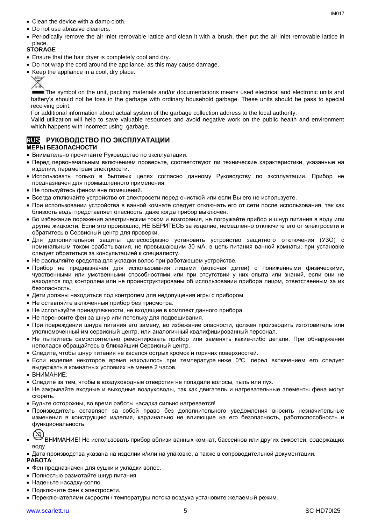- Clean the device with a damp cloth.
- Do not use abrasive cleaners.
- Periodically remove the air inlet removable lattice and clean it with a brush, then put the air inlet removable lattice in place.

### **STORAGE**

- Ensure that the hair dryer is completely cool and dry.
- Do not wrap the cord around the appliance, as this may cause damage.
- Keep the appliance in a cool, dry place.



The symbol on the unit, packing materials and/or documentations means used electrical and electronic units and battery's should not be toss in the garbage with ordinary household garbage. These units should be pass to special receiving point.

For additional information about actual system of the garbage collection address to the local authority.

Valid utilization will help to save valuable resources and avoid negative work on the public health and environment which happens with incorrect using garbage.

#### **RUS РУКОВОДСТВО ПО ЭКСПЛУАТАЦИИ МЕРЫ БЕЗОПАСНОСТИ**

- Внимательно прочитайте Руководство по эксплуатации.
- Перед первоначальным включением проверьте, соответствуют ли технические характеристики, указанные на изделии, параметрам электросети.
- Использовать только в бытовых целях согласно данному Руководству по эксплуатации. Прибор не предназначен для промышленного применения.
- Не пользуйтесь феном вне помещений.
- Всегда отключайте устройство от электросети перед очисткой или если Вы его не используете.
- При использовании устройства в ванной комнате следует отключать его от сети после использования, так как близость воды представляет опасность, даже когда прибор выключен.
- Во избежание поражения электрическим током и возгорания, не погружайте прибор и шнур питания в воду или другие жидкости. Если это произошло, НЕ БЕРИТЕСЬ за изделие, немедленно отключите его от электросети и обратитесь в Сервисный центр для проверки.
- Для дополнительной защиты целесообразно установить устройство защитного отключения (УЗО) с номинальным током срабатывания, не превышающим 30 мА, в цепь питания ванной комнаты; при установке следует обратиться за консультацией к специалисту.
- Не распыляйте средства для укладки волос при работающем устройстве.
- Прибор не предназначен для использования лицами (включая детей) с пониженными физическими, чувственными или умственными способностями или при отсутствии у них опыта или знаний, если они не находятся под контролем или не проинструктированы об использовании прибора лицом, ответственным за их безопасность.
- Дети должны находиться под контролем для недопущения игры с прибором.
- Не оставляйте включенный прибор без присмотра.
- Не используйте принадлежности, не входящие в комплект данного прибора.
- Не переносите фен за шнур или петельку для подвешивания.
- При повреждении шнура питания его замену, во избежание опасности, должен производить изготовитель или уполномоченный им сервисный центр, или аналогичный квалифицированный персонал.
- Не пытайтесь самостоятельно ремонтировать прибор или заменять какие-либо детали. При обнаружении неполадок обращайтесь в ближайший Сервисный центр.
- Следите, чтобы шнур питания не касался острых кромок и горячих поверхностей.
- Если изделие некоторое время находилось при температуре ниже 0ºC, перед включением его следует выдержать в комнатных условиях не менее 2 часов.
- ВНИМАНИЕ:
- Следите за тем, чтобы в воздуховодные отверстия не попадали волосы, пыль или пух.
- Не закрывайте входные и выходные воздуховоды, так как двигатель и нагревательные элементы фена могут сгореть.
- Будьте осторожны, во время работы насадка сильно нагревается!
- Производитель оставляет за собой право без дополнительного уведомления вносить незначительные изменения в конструкцию изделия, кардинально не влияющие на его безопасность, работоспособность и функциональность.



- ВНИМАНИЕ! Не использовать прибор вблизи ванных комнат, бассейнов или других емкостей, содержащих воду.
- Дата производства указана на изделии и/или на упаковке, а также в сопроводительной документации. **РАБОТА**
- Фен предназначен для сушки и укладки волос.
- Полностью размотайте шнур питания.
- Наденьте насадку-сопло.
- Подключите фен к электросети.
- Переключателями скорости / температуры потока воздуха установите желаемый режим.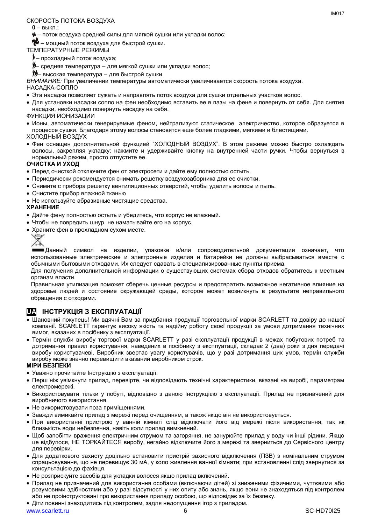#### СКОРОСТЬ ПОТОКА ВОЗДУХА

**0** – выкл.;

– поток воздуха средней силы для мягкой сушки или укладки волос;

 $\mathcal{X}$  – мощный поток воздуха для быстрой сушки.

ТЕМПЕРАТУРНЫЕ РЕЖИМЫ

- прохладный поток воздуха;
- средняя температура для мягкой сушки или укладки волос;
- **))** высокая температура для быстрой сушки.

*ВНИМАНИЕ:* При увеличении температуры автоматически увеличивается скорость потока воздуха.

НАСАДКА-СОПЛО

- Эта насадка позволяет сужать и направлять поток воздуха для сушки отдельных участков волос.
- Для установки насадки сопло на фен необходимо вставить ее в пазы на фене и повернуть от себя. Для снятия насадки, необходимо повернуть насадку на себя.

ФУНКЦИЯ ИОНИЗАЦИИ

- Ионы, автоматически генерируемые феном, нейтрализуют статическое электричество, которое образуется в процессе сушки. Благодаря этому волосы становятся еще более гладкими, мягкими и блестящими. ХОЛОДНЫЙ ВОЗДУХ
- Фен оснащен дополнительной функцией "ХОЛОДНЫЙ ВОЗДУХ". В этом режиме можно быстро охлаждать волосы, закрепляя укладку: нажмите и удерживайте кнопку на внутренней части ручки. Чтобы вернуться в нормальный режим, просто отпустите ее.

#### **ОЧИСТКА И УХОД**

- Перед очисткой отключите фен от электросети и дайте ему полностью остыть.
- Периодически рекомендуется снимать решетку воздухозаборника для ее очистки.
- Снимите с прибора решетку вентиляционных отверстий, чтобы удалить волосы и пыль.
- Очистите прибор влажной тканью
- Не используйте абразивные чистящие средства.

#### **ХРАНЕНИЕ**

- Дайте фену полностью остыть и убедитесь, что корпус не влажный.
- Чтобы не повредить шнур, не наматывайте его на корпус.
- Храните фен в прохладном сухом месте.



Данный символ на изделии, упаковке и/или сопроводительной документации означает, что использованные электрические и электронные изделия и батарейки не должны выбрасываться вместе с обычными бытовыми отходами. Их следует сдавать в специализированные пункты приема.

Для получения дополнительной информации о существующих системах сбора отходов обратитесь к местным органам власти.

Правильная утилизация поможет сберечь ценные ресурсы и предотвратить возможное негативное влияние на здоровье людей и состояние окружающей среды, которое может возникнуть в результате неправильного обращения с отходами.

# **UA ІНСТРУКЦІЯ З ЕКСПЛУАТАЦІЇ**

- Шановний покупець! Ми вдячні Вам за придбання продукції торговельної марки SCARLETT та довіру до нашої компанії. SCARLETT гарантує високу якість та надійну роботу своєї продукції за умови дотримання технічних вимог, вказаних в посібнику з експлуатації.
- Термін служби виробу торгової марки SCARLETT у разі експлуатації продукції в межах побутових потреб та дотримання правил користування, наведених в посібнику з експлуатації, складає 2 (два) роки з дня передачі виробу користувачеві. Виробник звертає увагу користувачів, що у разі дотримання цих умов, термін служби виробу може значно перевищити вказаний виробником строк.

#### **МІРИ БЕЗПЕКИ**

- Уважно прочитайте Інструкцію з експлуатації.
- Перш ніж увімкнути прилад, перевірте, чи відповідають технічні характеристики, вказані на виробі, параметрам електромережі.
- Використовувати тільки у побуті, відповідно з даною Інструкцією з експлуатації. Прилад не призначений для виробничого використання.
- Не використовувати поза приміщеннями.
- Завжди вимикайте прилад з мережі перед очищенням, а також якщо він не використовується.
- При використанні пристрою у ванній кімнаті слід відключати його від мережі після використання, так як близькість води небезпечна, навіть коли прилад вимкнений.
- Щоб запобігти враження електричним струмом та загоряння, не занурюйте прилад у воду чи інші рідини. Якщо це відбулося, НЕ ТОРКАЙТЕСЯ виробу, негайно відключите його з мережі та зверниться до Сервісного центру для перевірки.
- Для додаткового захисту доцільно встановити пристрій захисного відключення (ПЗВ) з номінальним струмом спрацьовування, що не перевищує 30 мА, у коло живлення ванної кімнати; при встановленні слід звернутися за консультацією до фахівця.
- Не розприскуйте засобів для укладки волосся якщо прилад включений.
- Прилад не призначений для використання особами (включаючи дітей) зі зниженими фізичними, чуттєвими або розумовими здібностями або у разі відсутності у них опиту або знань, якщо вони не знаходяться під контролем або не проінструктовані про використання приладу особою, що відповідає за їх безпеку.
- Діти повинні знаходитись під контролем, задля недопущення ігор з приладом.

www.scarlett.ru 6 SC-HD70I25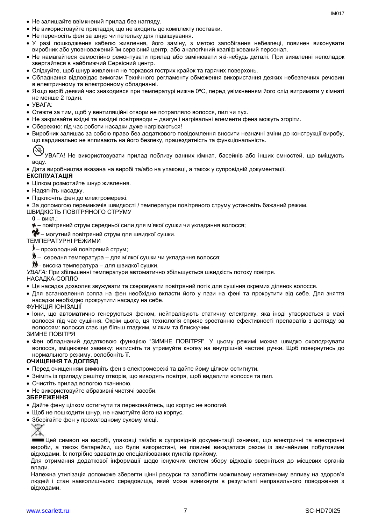- Не залишайте ввімкнений прилад без нагляду.
- Не використовуйте приладдя, що не входить до комплекту поставки.
- Не переносіть фен за шнур чи петельку для підвішування.
- У разі пошкодження кабелю живлення, його заміну, з метою запобігання небезпеці, повинен виконувати виробник або уповноважений їм сервісний центр, або аналогічний кваліфікований персонал.
- Не намагайтеся самостійно ремонтувати прилад або замінювати які-небудь деталі. При виявленні неполадок звертайтеся в найближчий Сервісний центр.
- Слідкуйте, щоб шнур живлення не торкався гострих крайок та гарячих поверхонь.
- Обладнання відповідає вимогам Технічного регламенту обмеження використання деяких небезпечних речовин в електричному та електронному обладнанні.
- Якщо виріб деякий час знаходився при температурі нижче 0ºC, перед увімкненням його слід витримати у кімнаті не менше 2 годин.
- УВАГА:
- Стежте за тим, щоб у вентиляційні отвори не потрапляло волосся, пил чи пух.
- Не закривайте вхідні та вихідні повітряводи двигун і нагрівальні елементи фена можуть згоріти.
- Обережно: пiд час роботи насадки дуже нагріваються!
- Виробник залишає за собою право без додаткового повідомлення вносити незначні зміни до конструкції виробу, що кардинально не впливають на його безпеку, працездатність та функціональність.
- УВАГА! Не використовувати прилад поблизу ванних кімнат, басейнів або інших ємностей, що вміщують воду.
- Дата виробництва вказана на виробі та/або на упаковці, а також у супровідній документації.

#### **ЕКСПЛУАТАЦІЯ**

- Цілком розмотайте шнур живлення.
- Надягніть насадку.
- Підключіть фен до електромережі.

За допомогою перемикачів швидкості / температури повітряного струму установіть бажаний режим.

ШВИДКІСТЬ ПОВІТРЯНОГО СТРУМУ

- **0** викл.;
- повітряний струм середньої сили для м'якої сушки чи укладання волосся;

 $\bullet$  – могутний повітряний струм для швидкої сушки.

ТЕМПЕРАТУРНІ РЕЖИМИ

- прохолодний повітряний струм;
- $\textbf{\emph{y}}$  середня температура для м'якої сушки чи укладання волосся;
- висока температура для швидкої сушки.

*УВАГА:* При збільшенні температури автоматично збільшується швидкість потоку повітря.

#### НАСАДКА-СОПЛО

- Ця насадка дозволяє звужувати та скеровувати повітряний потік для сушіння окремих ділянок волосся.
- Для встановлення сопла на фен необхідно вкласти його у пази на фені та прокрутити від себе. Для зняття насадки необхідно прокрутити насадку на себе.
- ФУНКЦІЯ ІОНІЗАЦІЇ
- Іони, що автоматично генеруються феном, нейтралізують статичну електрику, яка іноді утворюється в масі волосся під час сушіння. Окрім цього, ця технологія сприяє зростанню ефективності препаратів з догляду за волоссям: волосся стає ще більш гладким, м'яким та блискучим.

ЗИМНЕ ПОВІТРЯ

 Фен обладнаний додатковою функцією "ЗИМНЕ ПОВІТРЯ". У цьому режимі можна швидко охолоджувати волосся, зміцнюючи завивку: натисніть та утримуйте кнопку на внутрішній частині ручки. Щоб повернутись до нормального режиму, ослобоніть її.

#### **ОЧИЩЕННЯ ТА ДОГЛЯД**

- Перед очищенням вимкніть фен з електромережі та дайте йому цілком остигнути.
- Зніміть із приладу решітку отворів, що виводять повітря, щоб видалити волосся та пил.
- Очистіть прилад вологою тканиною.
- Не використовуйте абразивні чистячі засоби.

#### **ЗБЕРЕЖЕННЯ**

- Дайте фену цілком остигнути та переконайтесь, що корпус не вологий.
- Щоб не пошкодити шнур, не намотуйте його на корпус.
- Зберігайте фен у прохолодному сухому місці.



Цей символ на виробі, упаковці та/або в супровідній документації означає, що електричні та електронні вироби, а також батарейки, що були використані, не повинні викидатися разом із звичайними побутовими відходами. Їх потрібно здавати до спеціалізованих пунктів прийому.

Для отримання додаткової інформації щодо існуючих систем збору відходів зверніться до місцевих органів влади.

Належна утилізація допоможе зберегти цінні ресурси та запобігти можливому негативному впливу на здоров'я людей і стан навколишнього середовища, який може виникнути в результаті неправильного поводження з відходами.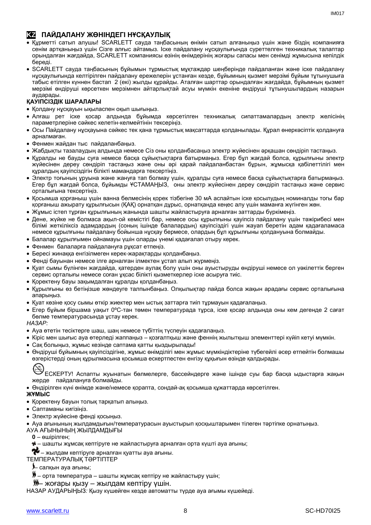# **KZ ПАЙДАЛАНУ ЖӨНІНДЕГІ НҰСҚАУЛЫҚ**

- Құрметті сатып алушы! SCARLETT сауда таңбасының өнімін сатып алғаныңыз үшін және біздің компанияға сенім артқаныңыз үшін Сізге алғыс айтамыз. Іске пайдалану нұсқаулығында суреттелген техникалық талаптар орындалған жағдайда, SCARLETT компаниясы өзінің өнімдерінің жоғары сапасы мен сенімді жұмысына кепілдік береді.
- SCARLETT сауда таңбасының бұйымын тұрмыстық мұқтаждар шеңберінде пайдаланған және іске пайдалану нұсқаулығында келтірілген пайдалану ережелерін ұстанған кезде, бұйымның қызмет мерзімі бұйым тұтынушыға табыс етілген күннен бастап 2 (екі) жылды құрайды. Аталған шарттар орындалған жағдайда, бұйымның қызмет мерзімі өндіруші көрсеткен мерзімнен айтарлықтай асуы мүмкін екеніне өндіруші тұтынушылардың назарын аударады.

### **ҚАУІПСІЗДІК ШАРАЛАРЫ**

- Қолдану нұсқауын ықыласпен оқып шығыңыз.
- Алғаш рет іске қосар алдында бұйымда көрсетілген техникалық сипаттамалардың электр желісінің параметрлеріне сәйкес келетін-келмейтінін тексеріңіз.
- Осы Пайдалану нұсқауына сәйкес тек қана тұрмыстық мақсаттарда қолданылады. Құрал өнеркәсіптік қолдануға арналмаған.
- Фенмен жайдан тыс пайдаланбаңыз.
- Жабдықты тазалаудың алдында немесе Сіз оны қолданбасаңыз электр жүйесінен әрқашан сөндіріп тастаңыз.
- Құралды не бауды суға немесе басқа сұйықтықтарға батырмаңыз. Егер бұл жағдай болса, құрылғыны электр жүйесінен дереу сөндіріп тастаңыз және оны әрі қарай пайдаланбастан бұрын, жұмысқа қабілеттілігі мен құралдың қауіпсіздігін білікті мамандарға тексертіңіз.
- Электр тоғының ұруына және жануға тап болмау үшін, құралды суға немесе басқа сұйықтықтарға батырмаңыз. Егер бұл жағдай болса, бұйымды ҰСТАМАҢЫЗ, оны электр жүйесінен дереу сөндіріп тастаңыз және сервис орталығына тексертіңіз.
- Қосымша қорғаныш үшін ванна бөлмесінің қорек тізбегіне 30 мА аспайтын іске қосылудың номиналды тогы бар қорғаныш ажырату құрылғысын (ҚАҚ) орнатқан дұрыс, орнатқанда кеңес алу үшін маманға жүгінген жөн.
- Жұмыс істеп тұрған құрылғының жанында шашты жайластыруға арналған заттарды бүркімеңіз.
- Дене, жүйке не болмаса ақыл-ой кемістігі бар, немесе осы құрылғыны қауіпсіз пайдалану үшін тәжірибесі мен білімі жеткіліксіз адамдардың (соның ішінде балалардың) қауіпсіздігі үшін жауап беретін адам қадағаламаса немесе құрылғыны пайдалану бойынша нұсқау бермесе, олардың бұл құрылғыны қолдануына болмайды.
- Балалар құрылғымен ойнамауы үшін оларды үнемі қадағалап отыру керек.
- Фенмен балаларға пайдалануға рұқсат етпеңіз.
- Бересі жинаққа енгізілмеген керек-жарақтарды қолданбаңыз.
- Фенді бауынан немесе ілге арналған ілмектен ұстап алып жүрмеңіз.
- Қуат сымы бүлінген жағдайда, қатерден аулақ болу үшін оны ауыстыруды өндіруші немесе ол уәкілеттік берген сервис орталығы немесе соған ұқсас білікті қызметкерлер іске асыруға тиіс.
- Қоректену бауы зақымдалған құралды қолданбаңыз.
- Құрылғыны өз бетіңізше жөндеуге талпынбаңыз. Олқылықтар пайда болса жақын арадағы сервис орталығына апарыңыз.
- Қуат көзіне қосу сымы өткір жиектер мен ыстық заттарға тиіп тұрмауын қадағалаңыз.
- Егер бұйым біршама уақыт 0ºC-тан төмен температурада тұрса, іске қосар алдында оны кем дегенде 2 сағат бөлме температурасында ұстау керек.

*НАЗАР:*

- Ауа өтетін тесіктерге шаш, шаң немесе түбіттің түспеуін қадағалаңыз.
- Кіріс мен шығыс ауа өтерледі жаппаңыз қозғалтқыш және феннің жылытқыш элементтері күйіп кетуі мүмкін.
- Сақ болыңыз, жұмыс кезінде саптама қатты қыздырылады!
- Өндіруші бұйымның қауіпсіздігіне, жұмыс өнімділігі мен жұмыс мүмкіндіктеріне түбегейлі әсер етпейтін болмашы өзгерістерді оның құрылмасына қосымша ескертпестен енгізу құқығын өзінде қалдырады.

ЕСКЕРТУ! Аспапты жуынатын бөлмелерге, бассейндерге және ішінде суы бар басқа ыдыстарға жақын жерде пайдалануға болмайды.

Өндірілген күні өнімде және/немесе қорапта, сондай-ақ қосымша құжаттарда көрсетілген.

#### **ЖҰМЫС**

- Қоректену бауын толық тарқатып алыңыз.
- Саптаманы кигізіңіз.
- Электр жүйесіне фенді қосыңыз.
- Ауа ағынының жылдамдығын/температурасын ауыстырып қосқыштарымен тілеген тәртіпке орнатыңыз.

АУА АҒЫНЫНЫҢ ЖЫЛДАМДЫҒЫ

- **0** өшірілген;
- шашты жұмсақ кептіруге не жайластыруға арналған орта күшті ауа ағыны;

 $\blacklozenge$  – жылдам кептіруге арналған қуатты ауа ағыны.

- ТЕМПЕРАТУРАЛЫҚ ТӘРТІПТЕР
	- салқын ауа ағыны;
	- $\blacktriangleright$  орта температура шашты жұмсақ кептіру не жайластыру үшін;
	- жоғары қызу жылдам кептіру үшін.

НАЗАР АУДАРЫҢЫЗ*:* Қызу күшейген кезде автоматты түрде ауа ағымы күшейеді.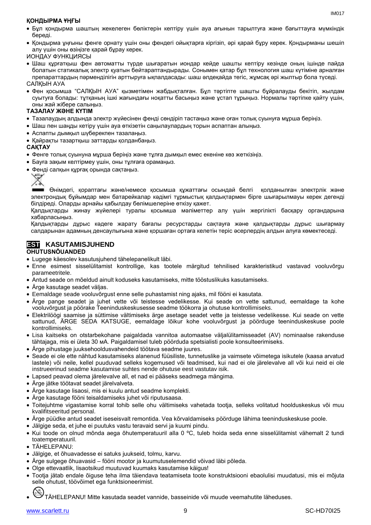#### **ҚОНДЫРМА ҰҢҒЫ**

- Бұл қондырма шаштың жекелеген бөліктерін кептіру үшін ауа ағынын тарылтуға және бағыттауға мүмкіндік береді.
- Қондырма ұңғыны фенге орнату үшін оны фендегі ойықтарға кіргізіп, әрі қарай бұру керек. Қондырманы шешіп алу үшін оны өзіңізге қарай бұрау керек.

ИОНДАУ ФУНКЦИЯСЫ

 Шаш құрғатқыш фен автоматты түрде шығаратын иондар кейде шашты кептіру кезінде оның ішінде пайда болатын статикалық электр қуатын бейтараптандырады. Сонымен қатар бұл технология шаш күтіміне арналған препараттардың пәрменділігін арттыруға ықпалдасады: шаш әлдеқайда тегіс, жұмсақ әрі жылтыр бола түседі.

САЛҚЫН АУА

 Фен қосымша "САЛҚЫН АУА" қызметімен жабдықталған. Бұл тәртіпте шашты бұйралауды бекітіп, жылдам суытуға болады: тұтқаның ішкі жағындағы ноқатты басыңыз және ұстап тұрыңыз. Нормалы тәртіпке қайту үшін, оны жай жібере салыңыз.

#### **ТАЗАЛАУ ЖӘНЕ КҮТІМ**

- Тазалаудың алдында электр жүйесінен фенді сөндіріп тастаңыз және оған толық суынуға мұрша беріңіз.
- Шаш пен шаңды кетіру үшін ауа өткізетін саңылаулардың торын аспаптан алыңыз.
- Аспапты дымқыл шүберекпен тазалаңыз.
- Қайрақты тазартқыш заттарды қолданбаңыз.

#### **САҚТАУ**

- Фенге толық суынуна мұрша беріңіз және тұлға дымқыл емес екеніне көз жеткізіңіз.
- Бауға зақым келтірмеу үшін, оны тұлғаға орамаңыз.
- Фенді салқын құрғақ орында сақтаңыз.



Өнімдегі, қораптағы және/немесе қосымша құжаттағы осындай белгі қолданылған электрлік және электрондық бұйымдар мен батарейкалар кәдімгі тұрмыстық қалдықтармен бірге шығарылмауы керек дегенді білдіреді. Оларды арнайы қабылдау бөлімшелеріне өткізу қажет.

Қалдықтарды жинау жүйелері туралы қосымша мәліметтер алу үшін жергілікті басқару органдарына хабарласыңыз.

Қалдықтарды дұрыс кәдеге жарату бағалы ресурстарды сақтауға және қалдықтарды дұрыс шығармау салдарынан адамның денсаулығына және қоршаған ортаға келетін теріс әсерлердің алдын алуға көмектеседі.

# **EST KASUTAMISJUHEND**

#### **OHUTUSNÕUANDED**

- Lugege käesolev kasutusjuhend tähelepanelikult läbi.
- Enne esimest sisselülitamist kontrollige, kas tootele märgitud tehnilised karakteristikud vastavad vooluvõrgu parameetritele.
- Antud seade on mõeldud ainult koduseks kasutamiseks, mitte tööstuslikuks kasutamiseks.
- Ärge kasutage seadet väljas.
- Eemaldage seade vooluvõrgust enne selle puhastamist ning ajaks, mil fööni ei kasutata.
- Ärge pange seadet ja juhet vette või teistesse vedelikesse. Kui seade on vette sattunud, eemaldage ta kohe vooluvõrgust ja pöörake Teeninduskeskusesse seadme töökorra ja ohutuse kontrollimiseks.
- Elektrilöögi saamise ja süttimise vältimiseks ärge asetage seadet vette ja teistesse vedelikesse. Kui seade on vette sattunud, ÄRGE SEDA KATSUGE, eemaldage lõikur kohe vooluvõrgust ja pöörduge teeninduskeskuse poole kontrollimiseks.
- Lisa kaitseks on otstarbekohane paigaldada vannitoa automaatse väljalülitamisseadet (AV) nominaalse rakenduse tähtajaga, mis ei ületa 30 мА. Paigaldamisel tuleb pöörduda spetsialisti poole konsulteerimiseks.
- Ärge pihustage juuksehooldusvahendeid töötava seadme juures.
- Seade ei ole ette nähtud kasutamiseks alanenud füüsiliste, tunnetuslike ja vaimsete võimetega isikutele (kaasa arvatud lastele) või neile, kellel puuduvad selleks kogemused või teadmised, kui nad ei ole järelevalve all või kui neid ei ole instrueerinud seadme kasutamise suhtes nende ohutuse eest vastutav isik.
- Lapsed peavad olema järelevalve all, et nad ei pääseks seadmega mängima.
- Ärge jätke töötavat seadet järelvalveta.
- Ärge kasutage lisaosi, mis ei kuulu antud seadme komplekti.
- Ärge kasutage fööni teisaldamiseks juhet või riputusaasa.
- Toitejuhtme vigastamise korral tohib selle ohu vältimiseks vahetada tootja, selleks volitatud hoolduskeskus või muu kvalifitseeritud personal.
- Ärge püüdke antud seadet iseseisvalt remontida. Vea kõrvaldamiseks pöörduge lähima teeninduskeskuse poole.
- Jälgige seda, et juhe ei puutuks vastu teravaid servi ja kuumi pindu.
- Kui toode on olnud mõnda aega õhutemperatuuril alla 0 ºC, tuleb hoida seda enne sisselülitamist vähemalt 2 tundi toatemperatuuril.
- TÄHELEPANU:
- Jälgige, et õhuavadesse ei satuks juukseid, tolmu, karvu.
- Ärge sulgege õhuavasid fööni mootor ja kuumutuselemendid võivad läbi põleda.
- Olge ettevaatlik, lisaotsikud muutuvad kuumaks kasutamise käigus!
- Tootja jätab endale õiguse teha ilma täiendava teatamiseta toote konstruktsiooni ebaolulisi muudatusi, mis ei mõjuta selle ohutust, töövõimet ega funktsioneerimist.

TÄHELEPANU! Mitte kasutada seadet vannide, basseinide või muude veemahutite läheduses.

 $INAO17$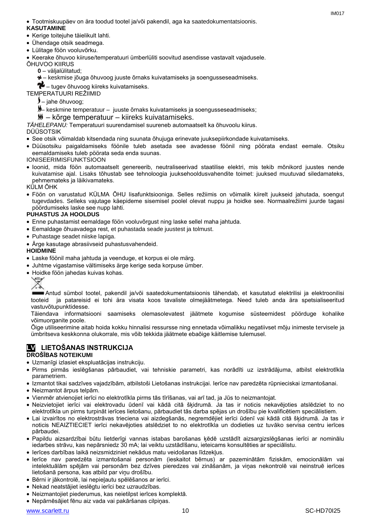Tootmiskuupäev on ära toodud tootel ja/või pakendil, aga ka saatedokumentatsioonis.

### **KASUTAMINE**

- Kerige toitejuhe täielikult lahti.
- Ühendage otsik seadmega.
- Lülitage föön vooluvõrku.

Keerake õhuvoo kiiruse/temperatuuri ümberlüliti soovitud asendisse vastavalt vajadusele.

- ÕHUVOO KIIRUS
	- **0** väljalülitatud;
	- keskmise jõuga õhuvoog juuste õrnaks kuivatamiseks ja soengusseseadmiseks.

– tugev õhuvoog kiireks kuivatamiseks.

TEMPERATUURI REŽIIMID

– jahe õhuvoog;

– keskmine temperatuur – juuste õrnaks kuivatamiseks ja soengusseseadmiseks;

– kõrge temperatuur – kiireks kuivatamiseks.

*TÄHELEPANU:* Temperatuuri suurendamisel suureneb automaatselt ka õhuvoolu kiirus.

- DÜÜSOTSIK
- See otsik võimaldab kitsendada ning suunata õhujuga erinevate juuksepiirkondade kuivatamiseks.
- Düüsotsiku paigaldamiseks föönile tuleb asetada see avadesse föönil ning pöörata endast eemale. Otsiku eemaldamiseks tuleb pöörata seda enda suunas.

IONISEERIMISFUNKTSIOON

 Ioonid, mida föön automaatselt genereerib, neutraliseerivad staatilise elektri, mis tekib mõnikord juustes nende kuivatamise ajal. Lisaks tõhustab see tehnoloogia juuksehooldusvahendite toimet: juuksed muutuvad siledamateks, pehmemateks ja läikivamateks.

KÜLM ÕHK

 Föön on varustatud KÜLMA ÕHU lisafunktsiooniga. Selles režiimis on võimalik kiirelt juukseid jahutada, soengut tugevdades. Selleks vajutage käepideme sisemisel poolel olevat nuppu ja hoidke see. Normaalrežiimi juurde tagasi pöördumiseks laske see nupp lahti.

#### **PUHASTUS JA HOOLDUS**

- Enne puhastamist eemaldage föön vooluvõrgust ning laske sellel maha jahtuda.
- Eemaldage õhuavadega rest, et puhastada seade juustest ja tolmust.
- Puhastage seadet niiske lapiga.
- Ärge kasutage abrasiivseid puhastusvahendeid.

#### **HOIDMINE**

- Laske föönil maha jahtuda ja veenduge, et korpus ei ole märg.
- Juhtme vigastamise vältimiseks ärge kerige seda korpuse ümber.
- Hoidke föön jahedas kuivas kohas.



Antud sümbol tootel, pakendil ja/või saatedokumentatsioonis tähendab, et kasutatud elektrilisi ja elektroonilisi tooteid ja patareisid ei tohi ära visata koos tavaliste olmejäätmetega. Need tuleb anda ära spetsialiseeritud vastuvõtupunktidesse.

Täiendava informatsiooni saamiseks olemasolevatest jäätmete kogumise süsteemidest pöörduge kohalike võimuorganite poole.

Õige utiliseerimine aitab hoida kokku hinnalisi ressursse ning ennetada võimalikku negatiivset mõju inimeste tervisele ja ümbritseva keskkonna olukorrale, mis võib tekkida jäätmete ebaõige käitlemise tulemusel.

### **LV LIETOŠANAS INSTRUKCIJA DROŠĪBAS NOTEIKUMI**

- Uzmanīgi izlasiet ekspluatācijas instrukciju.
- Pirms pirmās ieslēgšanas pārbaudiet, vai tehniskie parametri, kas norādīti uz izstrādājuma, atbilst elektrotīkla parametriem.
- Izmantot tikai sadzīves vajadzībām, atbilstoši Lietošanas instrukcijai. Ierīce nav paredzēta rūpnieciskai izmantošanai.
- Neizmantot ārpus telpām.
- Vienmēr atvienojiet ierīci no elektrotīkla pirms tās tīrīšanas, vai arī tad, ja Jūs to neizmantojat.
- Neizvietojiet ierīci vai elektrovadu ūdenī vai kādā citā šķidrumā. Ja tas ir noticis nekavējoties atslēdziet to no elektrotīkla un pirms turpināt ierīces lietošanu, pārbaudiet tās darba spējas un drošību pie kvalificētiem speciālistiem.
- Lai izvairītos no elektrostrāvas trieciena vai aizdegšanās, negremdējiet ierīci ūdenī vai kādā citā šķidrumā. Ja tas ir noticis NEAIZTIECIET ierīci nekavējoties atslēdziet to no elektrotīkla un dodieties uz tuvāko servisa centru ierīces pārbaudei.
- Papildu aizsardzībai būtu lietderīgi vannas istabas barošanas ķēdē uzstādīt aizsargizslēgšanas ierīci ar nominālu iedarbes strāvu, kas nepārsniedz 30 mА; lai veiktu uzstādīšanu, ieteicams konsultēties ar speciālistu.
- Ierīces darbības laikā neizsmidziniet nekādus matu veidošanas līdzekļus.
- Ierīce nav paredzēta izmantošanai personām (ieskaitot bērnus) ar pazeminātām fiziskām, emocionālām vai intelektuālām spējām vai personām bez dzīves pieredzes vai zināšanām, ja viņas nekontrolē vai neinstruē ierīces lietošanā persona, kas atbild par viņu drošību.
- Bērni ir jākontrolē, lai nepieļautu spēlēšanos ar ierīci.
- Nekad neatstājiet ieslēgtu ierīci bez uzraudzības.
- Neizmantojiet piederumus, kas neietilpst ierīces komplektā.
- Nepārnēsājiet fēnu aiz vada vai pakāršanas cilpiņas.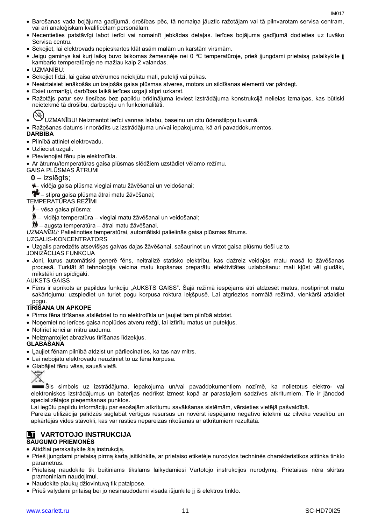- Barošanas vada bojājuma gadījumā, drošības pēc, tā nomaiņa jāuztic ražotājam vai tā pilnvarotam servisa centram, vai arī analoģiskam kvalificētam personālam.
- Necentieties patstāvīgi labot ierīci vai nomainīt jebkādas detaļas. Ierīces bojājuma gadījumā dodieties uz tuvāko Servisa centru.
- Sekojiet, lai elektrovads nepieskartos klāt asām malām un karstām virsmām.
- Jeigu gaminys kai kurį laiką buvo laikomas žemesnėje nei 0 ºC temperatūroje, prieš įjungdami prietaisą palaikykite jį kambario temperatūroje ne mažiau kaip 2 valandas.
- UZMANIBU:
- Sekojiet līdzi, lai gaisa atvērumos neiekļūtu mati, putekļi vai pūkas.
- Neaiztaisiet ienākošās un izejošās gaisa plūsmas atveres, motors un sildīšanas elementi var pārdegt.
- Esiet uzmanīgi, darbības laikā ierīces uzgaļi stipri uzkarst.
- Ražotājs patur sev tiesības bez papildu brīdinājuma ieviest izstrādājuma konstrukcijā nelielas izmaiņas, kas būtiski neietekmē tā drošību, darbspēju un funkcionalitāti.

UZMANĪBU! Neizmantot ierīci vannas istabu, baseinu un citu ūdenstilpņu tuvumā.

Ražošanas datums ir norādīts uz izstrādājuma un/vai iepakojuma, kā arī pavaddokumentos.

#### **DARBĪBA**

- Pilnībā attiniet elektrovadu.
- Uzlieciet uzgali.
- Pievienojiet fēnu pie elektrotīkla.
- Ar ātrumu/temperatūras gaisa plūsmas slēdžiem uzstādiet vēlamo režīmu.

GAISA PLŪSMAS ĀTRUMI

**0** – izslēgts;

– vidēja gaisa plūsma vieglai matu žāvēšanai un veidošanai;

 $\bullet$  – stipra gaisa plūsma ātrai matu žāvēšanai;

TEMPERATŪRAS REŽĪMI

- vēsa gaisa plūsma;
- $\frac{M}{2}$  vidēja temperatūra vieglai matu žāvēšanai un veidošanai;
- augsta temperatūra ātrai matu žāvēšanai.

*UZMANĪBU:* Palielinoties temperatūrai, automātiski palielinās gaisa plūsmas ātrums.

UZGALIS-KONCENTRATORS

Uzgalis paredzēts atsevišķas galvas daļas žāvēšanai, sašaurinot un virzot gaisa plūsmu tieši uz to.

JONIZĀCIJAS FUNKCIJA

 Joni, kurus automātiski ģenerē fēns, neitralizē statisko elektrību, kas dažreiz veidojas matu masā to žāvēšanas procesā. Turklāt šī tehnoloģija veicina matu kopšanas preparātu efektivitātes uzlabošanu: mati kļūst vēl gludāki, mīkstāki un spīdīgāki.

AUKSTS GAISS

 Fēns ir aprīkots ar papildus funkciju "AUKSTS GAISS". Šajā režīmā iespējams ātri atdzesēt matus, nostiprinot matu sakārtojumu: uzspiediet un turiet pogu korpusa roktura ieķšpusē. Lai atgrieztos normālā režīmā, vienkārši atlaidiet pogu.

#### **TĪRĪŠANA UN APKOPE**

- Pirms fēna tīrīšanas atslēdziet to no elektrotīkla un ļaujiet tam pilnībā atdzist.
- Noņemiet no ierīces gaisa noplūdes atveru režģi, lai iztīrītu matus un putekļus.
- Notīriet ierīci ar mitru audumu.
- Neizmantojiet abrazīvus tīrīšanas līdzekļus.

#### **GLABĀŠANA**

- Ļaujiet fēnam pilnībā atdzist un pārliecinaties, ka tas nav mitrs.
- Lai nebojātu elektrovadu neuztiniet to uz fēna korpusa.
- Glabājiet fēnu vēsa, sausā vietā.



Šis simbols uz izstrādājuma, iepakojuma un/vai pavaddokumentiem nozīmē, ka nolietotus elektro- vai elektroniskos izstrādājumus un baterijas nedrīkst izmest kopā ar parastajiem sadzīves atkritumiem. Tie ir jānodod specializētajos pieņemšanas punktos.

Lai iegūtu papildu informāciju par esošajām atkritumu savākšanas sistēmām, vērsieties vietējā pašvaldībā.

Pareiza utilizācija palīdzēs saglabāt vērtīgus resursus un novērst iespējamo negatīvo ietekmi uz cilvēku veselību un apkārtējās vides stāvokli, kas var rasties nepareizas rīkošanās ar atkritumiem rezultātā.

#### **LT VARTOTOJO INSTRUKCIJA SAUGUMO PRIEMONĖS**

- Atidžiai perskaitykite šią instrukciją.
- Prieš įjungdami prietaisą pirmą kartą įsitikinkite, ar prietaiso etiketėje nurodytos techninės charakteristikos atitinka tinklo parametrus.
- Prietaisą naudokite tik buitiniams tikslams laikydamiesi Vartotojo instrukcijos nurodymų. Prietaisas nėra skirtas pramoniniam naudojimui.
- Naudokite plaukų džiovintuvą tik patalpose.
- Prieš valydami pritaisą bei jo nesinaudodami visada išjunkite jį iš elektros tinklo.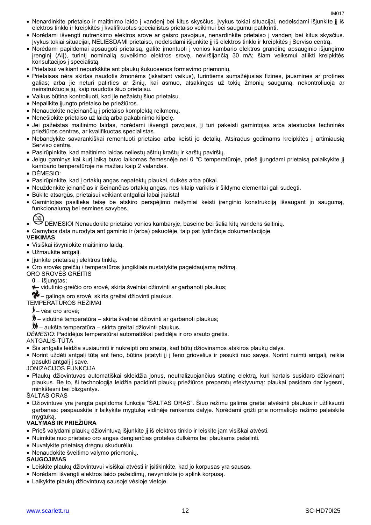- Nenardinkite prietaiso ir maitinimo laido į vandenį bei kitus skysčius. Įvykus tokiai situacijai, nedelsdami išjunkite jį iš elektros tinklo ir kreipkitės į kvalifikuotus specialistus prietaiso veikimui bei saugumui patikrinti.
- Norėdami išvengti nutrenkimo elektros srove ar gaisro pavojaus, nenardinkite prietaiso į vandenį bei kitus skysčius. Įvykus tokiai situacijai, NELIESDAMI prietaiso, nedelsdami išjunkite jį iš elektros tinklo ir kreipkitės į Serviso centrą.
- Norėdami papildomai apsaugoti prietaisą, galite įmontuoti į vonios kambario elektros grandinę apsauginio išjungimo įrenginį (AIĮ), turintį nominalią suveikimo elektros srovę, neviršijančią 30 mA; šiam veiksmui atlikti kreipkitės konsultacijos į specialistą.
- Prietaisui veikiant nepurkškite ant plaukų šukuosenos formavimo priemonių.
- Prietaisas nėra skirtas naudotis žmonėms (įskaitant vaikus), turintiems sumažėjusias fizines, jausmines ar protines galias; arba jie neturi patirties ar žinių, kai asmuo, atsakingas už tokių žmonių saugumą, nekontroliuoja ar neinstruktuoja jų, kaip naudotis šiuo prietaisu.
- Vaikus būtina kontroliuoti, kad jie nežaistų šiuo prietaisu.
- Nepalikite įjungto prietaiso be priežiūros.
- Nenaudokite neįeinančių į prietaiso komplektą reikmenų.
- Nenešiokite prietaiso už laidą arba pakabinimo kilpelę.
- Jei pažeistas maitinimo laidas, norėdami išvengti pavojaus, jį turi pakeisti gamintojas arba atestuotas techninės priežiūros centras, ar kvalifikuotas specialistas.
- Nebandykite savarankiškai remontuoti prietaiso arba keisti jo detalių. Atsiradus gedimams kreipkitės į artimiausią Serviso centrą.
- Pasirūpinkite, kad maitinimo laidas neliestų aštrių kraštų ir karštų paviršių.
- Jeigu gaminys kai kurį laiką buvo laikomas žemesnėje nei 0 ºC temperatūroje, prieš įjungdami prietaisą palaikykite jį kambario temperatūroje ne mažiau kaip 2 valandas.
- DĖMESIO:
- Pasirūpinkite, kad į ortakių angas nepatektų plaukai, dulkės arba pūkai.
- Neuždenkite įeinančias ir išeinančias ortakių angas, nes kitaip variklis ir šildymo elementai gali sudegti.
- Būkite atsargūs, prietaisui veikiant antgaliai labai įkaista!
- Gamintojas pasilieka teisę be atskiro perspėjimo nežymiai keisti įrenginio konstrukciją išsaugant jo saugumą, funkcionalumą bei esmines savybes.
- DĖMESIO! Nenaudokite prietaiso vonios kambaryje, baseine bei šalia kitų vandens šaltinių.
- Gamybos data nurodyta ant gaminio ir (arba) pakuotėje, taip pat lydinčioje dokumentacijoje.

### **VEIKIMAS**

- Visiškai išvyniokite maitinimo laidą.
- Užmaukite antgalį.
- Jjunkite prietaisą į elektros tinklą.
- Oro srovės greičių / temperatūros jungikliais nustatykite pageidaujamą režimą.
- ORO SROVĖS GREITIS
	- **0** išjungtas;
	- vidutinio greičio oro srovė, skirta švelniai džiovinti ar garbanoti plaukus;
- $\bullet$  galinga oro srovė, skirta greitai džiovinti plaukus.

#### TEMPERATŪROS REŽIMAI

- vėsi oro srovė;
- vidutinė temperatūra skirta švelniai džiovinti ar garbanoti plaukus;
- aukšta temperatūra skirta greitai džiovinti plaukus.
- *DĖMESIO:* Padidėjus temperatūrai automatiškai padidėja ir oro srauto greitis.

#### ANTGALIS-TŪTA

- Šis antgalis leidžia susiaurinti ir nukreipti oro srautą, kad būtų džiovinamos atskiros plaukų dalys.
- Norint uždėti antgalį tūtą ant feno, būtina įstatyti jį į feno griovelius ir pasukti nuo savęs. Norint nuimti antgalį, reikia pasukti antgalį į save.
- JONIZACIJOS FUNKCIJA
- Plaukų džiovintuvas automatiškai skleidžia jonus, neutralizuojančius statinę elektrą, kuri kartais susidaro džiovinant plaukus. Be to, ši technologija leidžia padidinti plaukų priežiūros preparatų efektyvumą: plaukai pasidaro dar lygesni, minkštesni bei blizgantys.
- ŠALTAS ORAS
- Džiovintuve yra įrengta papildoma funkcija "ŠALTAS ORAS". Šiuo režimu galima greitai atvėsinti plaukus ir užfiksuoti garbanas: paspauskite ir laikykite mygtuką vidinėje rankenos dalyje. Norėdami grįžti prie normaliojo režimo paleiskite mygtuką.

#### **VALYMAS IR PRIEŽIŪRA**

- Prieš valydami plaukų džiovintuvą išjunkite jį iš elektros tinklo ir leiskite jam visiškai atvėsti.
- Nuimkite nuo prietaiso oro angas dengiančias groteles dulkėms bei plaukams pašalinti.
- Nuvalykite prietaisą drėgnu skudurėliu.
- Nenaudokite šveitimo valymo priemonių.

#### **SAUGOJIMAS**

- Leiskite plaukų džiovintuvui visiškai atvėsti ir įsitikinkite, kad jo korpusas yra sausas.
- Norėdami išvengti elektros laido pažeidimų, nevyniokite jo aplink korpusą.
- Laikykite plaukų džiovintuvą sausoje vėsioje vietoje.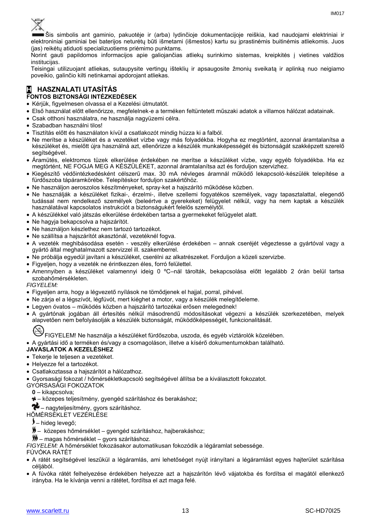

Šis simbolis ant gaminio, pakuotėje ir (arba) lydinčioje dokumentacijoje reiškia, kad naudojami elektriniai ir elektroniniai gaminiai bei baterijos neturėtų būti išmetami (išmestos) kartu su įprastinėmis buitinėmis atliekomis. Juos (jas) reikėtų atiduoti specializuotiems priėmimo punktams.

Norint gauti papildomos informacijos apie galiojančias atliekų surinkimo sistemas, kreipkitės į vietines valdžios institucijas.

Teisingai utilizuojant atliekas, sutaupysite vertingų išteklių ir apsaugosite žmonių sveikatą ir aplinką nuo neigiamo poveikio, galinčio kilti netinkamai apdorojant atliekas.

#### **H HASZNALATI UTASÍTÁS FONTOS BIZTONSÁGI INTÉZKEDÉSEK**

Kérjük, figyelmesen olvassa el a Kezelési útmutatót.

- Első használat előtt ellenőrizze, megfelelnek-e a terméken feltüntetett műszaki adatok a villamos hálózat adatainak.
- Csak otthoni használatra, ne használja nagyüzemi célra.
- Szabadban használni tilos!
- Tisztítás előtt és használaton kívül a csatlakozót mindig húzza ki a falból.
- Ne merítse a készüléket és a vezetéket vízbe vagy más folyadékba. Hogyha ez megtörtént, azonnal áramtalanítsa a készüléket és, mielőtt újra használná azt, ellenőrizze a készülék munkaképességét és biztonságát szakképzett szerelő segítségével.
- Áramütés, elektromos tüzek elkerülése érdekében ne merítse a készüléket vízbe, vagy egyéb folyadékba. Ha ez megtörtént, NE FOGJA MEG A KÉSZÜLÉKET, azonnal áramtalanítsa azt és forduljon szervizhez.
- Kiegészítő védőintézkedésként célszerű max. 30 mA névleges áramnál működő lekapcsoló-készülék telepítése a fürdőszoba tápáramkörébe. Telepítéskor forduljon szakértőhöz.
- Ne használjon aeroszolos készítményeket, spray-ket a hajszárító működése közben.
- Ne használják a készüléket fizikai-, érzelmi-, illetve szellemi fogyatékos személyek, vagy tapasztalattal, elegendő tudással nem rendelkező személyek (beleértve a gyerekeket) felügyelet nélkül, vagy ha nem kaptak a készülék használatával kapcsolatos instrukciót a biztonságukért felelős személytől.
- A készülékkel való játszás elkerülése érdekében tartsa a gyermekeket felügyelet alatt.
- Ne hagyja bekapcsolva a hajszárítót.
- Ne használjon készlethez nem tartozó tartozékot.
- Ne szállítsa a hajszárítót akasztónál, vezetéknél fogva.
- A vezeték meghibásodása esetén veszély elkerülése érdekében annak cseréjét végeztesse a gyártóval vagy a gyártó által meghatalmazott szervizzel ill. szakemberrel.
- Ne próbálja egyedül javítani a készüléket, cserélni az alkatrészeket. Forduljon a közeli szervizbe.
- Figyeljen, hogy a vezeték ne érintkezzen éles, forró felülettel.
- Amennyiben a készüléket valamennyi ideig 0 ºC–nál tárolták, bekapcsolása előtt legalább 2 órán belül tartsa szobahőmérsékleten.

*FIGYELEM:*

- Figyeljen arra, hogy a légvezető nyílások ne tömődjenek el hajjal, porral, pihével.
- Ne zárja el a légszívót, légfúvót, mert kiéghet a motor, vagy a készülék melegítőeleme.
- Legyen óvatos működés közben a hajszárító tartozékai erősen melegednek!
- A gyártónak jogában áll értesítés nélkül másodrendű módosításokat végezni a készülék szerkezetében, melyek alapvetően nem befolyásolják a készülék biztonságát, működőképességét, funkcionalitását.

FIGYELEM! Ne használja a készüléket fürdőszoba, uszoda, és egyéb víztárolók közelében.

A gyártási idő a terméken és/vagy a csomagoláson, illetve a kísérő dokumentumokban található.

- **JAVASLATOK A KEZELÉSHEZ**
- Tekerje le teljesen a vezetéket.
- Helyezze fel a tartozékot.
- Csatlakoztassa a hajszárítót a hálózathoz.
- Gyorsasági fokozat / hőmérsékletkapcsoló segítségével állítsa be a kiválasztott fokozatot.

GYORSASÁGI FOKOZATOK

- **0** kikapcsolva;
- közepes teljesítmény, gyengéd szárításhoz és berakáshoz;

 $\sim$  - nagyteljesítmény, gyors szárításhoz.

HŐMÉRSÉKLET VEZÉRLÉSE

– hideg levegő;

– közepes hőmérséklet – gyengéd szárításhoz, hajberakáshoz;

– magas hőmérséklet – gyors szárításhoz.

*FIGYELEM:* A hőmérséklet fokozásakor automatikusan fokozódik a légáramlat sebessége.

FÚVÓKA RÁTÉT

- А rátét segítségével leszűkül a légáramlás, ami lehetőséget nyújt irányítani a légáramlást egyes hajterület szárítása céljából.
- A fúvóka rátét felhelyezése érdekében helyezze azt a hajszárítón lévő vájatokba és fordítsa el magától ellenkező irányba. Ha le kívánja venni a rátétet, fordítsa el azt maga felé.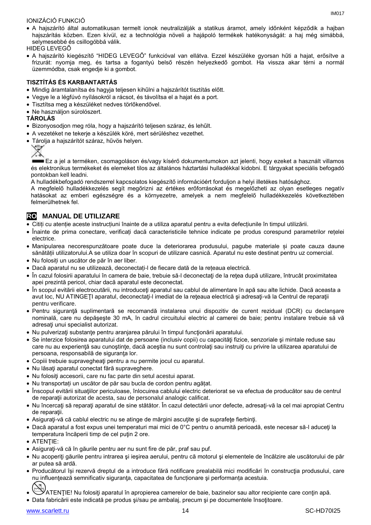#### IONIZÁCIÓ FUNKCIÓ

 A hajszárító által automatikusan termelt ionok neutralizálják a statikus áramot, amely időnként képződik a hajban hajszárítás közben. Ezen kívül, ez a technológia növeli a hajápoló termékek hatékonyságát: a haj még simábbá, selymesebbé és csillogóbbá válik.

HIDEG LEVEGŐ

 A hajszárító kiegészítő "HIDEG LEVEGŐ" funkcióval van ellátva. Ezzel készüléke gyorsan hűti a hajat, erősítve a frizurát: nyomja meg, és tartsa a fogantyú belső részén helyezkedő gombot. Ha vissza akar térni a normál üzemmódba, csak engedje ki a gombot.

### **TISZTÍTÁS ÉS KARBANTARTÁS**

- Mindig áramtalanítsa és hagyja teljesen kihűlni a hajszárítót tisztítás előtt.
- Vegye le a légfúvó nyílásokról a rácsot, és távolítsa el a hajat és a port.
- Tisztítsa meg a készüléket nedves törlőkendővel.
- Ne használjon súrolószert.

#### **TÁROLÁS**

- Bizonyosodjon meg róla, hogy a hajszárító teljesen száraz, és lehűlt.
- A vezetéket ne tekerje a készülék köré, mert sérüléshez vezethet.
- Tárolja a hajszárítót száraz, hűvös helyen.



Ez a jel a terméken, csomagoláson és/vagy kísérő dokumentumokon azt jelenti, hogy ezeket a használt villamos és elektronikus termékeket és elemeket tilos az általános háztartási hulladékkal kidobni. E tárgyakat speciális befogadó pontokban kell leadni.

A hulladékbefogadó rendszerrel kapcsolatos kiegészítő információért forduljon a helyi illetékes hatósághoz.

A megfelelő hulladékkezelés segít megőrizni az értékes erőforrásokat és megelőzheti az olyan esetleges negatív hatásokat az emberi egészségre és a környezetre, amelyek a nem megfelelő hulladékkezelés következtében felmerülhetnek fel.

## **RO MANUAL DE UTILIZARE**

Citiți cu atenție aceste instrucțiuni înainte de a utiliza aparatul pentru a evita defecțiunile în timpul utilizării.

- Înainte de prima conectare, verificați dacă caracteristicile tehnice indicate pe produs corespund parametrilor rețelei electrice.
- Manipularea necorespunzătoare poate duce la deteriorarea produsului, pagube materiale și poate cauza daune sănătății utilizatorului.A se utiliza doar în scopuri de utilizare casnică. Aparatul nu este destinat pentru uz comercial.
- Nu folosiți un uscător de păr în aer liber.
- Dacă aparatul nu se utilizează, deconectați-l de fiecare dată de la rețeaua electrică.
- În cazul folosirii aparatului în camera de baie, trebuie să-l deconectaţi de la reţea după utilizare, întrucât proximitatea apei prezintă pericol, chiar dacă aparatul este deconectat.
- În scopul evitării electrocutării, nu introduceţi aparatul sau cablul de alimentare în apă sau alte lichide. Dacă aceasta a avut loc, NU ATINGEŢI aparatul, deconectaţi-l imediat de la reţeaua electrică şi adresaţi-vă la Centrul de reparaţii pentru verificare.
- Pentru siguranţă suplimentară se recomandă instalarea unui dispozitiv de curent rezidual (DCR) cu declanşare nominală, care nu depăşeşte 30 mA, în cadrul circuitului electric al camerei de baie; pentru instalare trebuie să vă adresaţi unui specialist autorizat.
- Nu pulverizați substanțe pentru aranjarea părului în timpul funcționării aparatului.
- Se interzice folosirea aparatului dat de persoane (inclusiv copii) cu capacități fizice, senzoriale și mintale reduse sau care nu au experiență sau cunoștințe, dacă aceștia nu sunt controlați sau instruiți cu privire la utilizarea aparatului de persoana, responsabilă de siguranța lor.
- Copiii trebuie supravegheați pentru a nu permite jocul cu aparatul.
- Nu lăsaţi aparatul conectat fără supraveghere.
- Nu folosiţi accesorii, care nu fac parte din setul acestui aparat.
- Nu transportați un uscător de păr sau bucla de cordon pentru agățat.
- Înscopul evitării situaţiilor periculoase, înlocuirea cablului electric deteriorat se va efectua de producător sau de centrul de reparaţii autorizat de acesta, sau de personalul analogic calificat.
- Nu încercaţi să reparaţi aparatul de sine stătător. În cazul detectării unor defecte, adresaţi-vă la cel mai apropiat Centru de reparaţii.
- Asiguraţi-vă că cablul electric nu se atinge de mărgini ascuţite şi de suprafeţe fierbinţi.
- Dacă aparatul a fost expus unei temperaturi mai mici de 0°C pentru o anumită perioadă, este necesar să-l aduceţi la temperatura încăperii timp de cel puțin 2 ore.
- **ATENTIE:**
- Asiguraţi-vă că în găurile pentru aer nu sunt fire de păr, praf sau puf.
- Nu acoperiti găurile pentru intrarea și ieșirea aerului, pentru că motorul și elementele de încălzire ale uscătorului de păr ar putea să ardă.
- Producătorul își rezervă dreptul de a introduce fără notificare prealabilă mici modificări în construcția produsului, care nu influențează semnificativ siguranța, capacitatea de funcționare și performanța acestuia.
- ATENŢIE! Nu folosiţi aparatul în apropierea camerelor de baie, bazinelor sau altor recipiente care conţin apă.
- Data fabricării este indicată pe produs si/sau pe ambalaj, precum și pe documentele însotitoare.

www.scarlett.ru 14 SC-HD70I25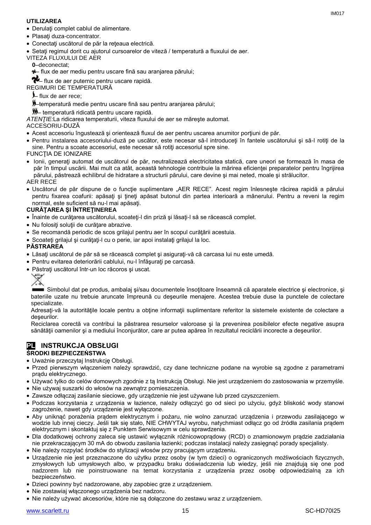#### **UTILIZAREA**

- Derulaţi complet cablul de alimentare.
- Plasați duza-concentrator.
- Conectaţi uscătorul de păr la reţeaua electrică.
- Setaţi regimul dorit cu ajutorul cursoarelor de viteză / temperatură a fluxului de aer.

VITEZA FLUXULUI DE AER

**0**–deconectat;

– flux de aer mediu pentru uscare fină sau aranjarea părului;

+ flux de aer puternic pentru uscare rapidă.

REGIMURI DE TEMPERATURĂ

- flux de aer rece;
- –temperatură medie pentru uscare fină sau pentru aranjarea părului;
- temperatură ridicată pentru uscare rapidă.

*ATENŢIE:*La ridicarea temperaturii, viteza fluxului de aer se măreşte automat.

- ACCESORIU-DUZĂ
- Acest accesoriu îngustează şi orientează fluxul de aer pentru uscarea anumitor porţiuni de păr.
- Pentru instalarea accesoriului-duză pe uscător, este necesar să-l introduceți în fantele uscătorului și să-l rotiți de la sine. Pentru a scoate accesoriul, este necesar să rotiti accesoriul spre sine.

FUNCŢIA DE IONIZARE

 Ionii, generaţi automat de uscătorul de păr, neutralizează electricitatea statică, care uneori se formează în masa de păr în timpul uscării. Mai mult ca atât, această tehnologie contribuie la mărirea eficienței preparatelor pentru îngrijirea părului, păstrează echilibrul de hidratare a structurii părului, care devine şi mai neted, moale şi strălucitor.

AER RECE

· Uscătorul de păr dispune de o funcție suplimentare "AER RECE". Acest regim înlesnește răcirea rapidă a părului pentru fixarea coafurii: apăsați și țineți apăsat butonul din partea interioară a mânerului. Pentru a reveni la regim normal, este suficient să nu-l mai apăsați.

#### **CURĂŢAREA ŞI ÎNTREŢINEREA**

- Înainte de curătarea uscătorului, scoateti-l din priză și lăsați-l să se răcească complet.
- Nu folosiţi soluţii de curăţare abrazive.
- Se recomandă periodic de scos grilajul pentru aer în scopul curăţării acestuia.
- Scoateţi grilajul şi curăţaţi-l cu o perie, iar apoi instalaţi grilajul la loc.

#### **PĂSTRAREA**

- Lăsați uscătorul de păr să se răcească complet și asigurați-vă că carcasa lui nu este umedă.
- Pentru evitarea deteriorării cablului, nu-l înfăşuraţi pe carcasă.
- Păstraţi uscătorul într-un loc răcoros şi uscat.



Simbolul dat pe produs, ambalaj şi/sau documentele însoțitoare înseamnă că aparatele electrice și electronice, și bateriile uzate nu trebuie aruncate împreună cu deşeurile menajere. Acestea trebuie duse la punctele de colectare specializate.

Adresaţi-vă la autorităţile locale pentru a obţine informaţii suplimentare referitor la sistemele existente de colectare a deşeurilor.

Reciclarea corectă va contribui la păstrarea resurselor valoroase şi la prevenirea posibilelor efecte negative asupra sănătății oamenilor și a mediului înconjurător, care ar putea apărea în rezultatul reciclării incorecte a deșeurilor.

#### **PL INSTRUKCJA OBSŁUGI ŚRODKI BEZPIECZEŃSTWA**

- Uważnie przeczytaj Instrukcję Obsługi.
- Przed pierwszym włączeniem należy sprawdzić, czy dane techniczne podane na wyrobie są zgodne z parametrami prądu elektrycznego.
- Używać tylko do celów domowych zgodnie z tą Instrukcją Obsługi. Nie jest urządzeniem do zastosowania w przemyśle.
- Nie używaj suszarki do włosów na zewnątrz pomieszczenia.
- Zawsze odłączaj zasilanie sieciowe, gdy urządzenie nie jest używane lub przed czyszczeniem.
- Podczas korzystania z urządzenia w łazience, należy odłączyć go od sieci po użyciu, gdyż bliskość wody stanowi zagrożenie, nawet gdy urządzenie jest wyłączone.
- Aby uniknąć porażenia prądem elektrycznym i pożaru, nie wolno zanurzać urządzenia i przewodu zasilającego w wodzie lub innej cieczy. Jeśli tak się stało, NIE CHWYTAJ wyrobu, natychmiast odłącz go od źródła zasilania prądem elektrycznym i skontaktuj się z Punktem Serwisowym w celu sprawdzenia.
- Dla dodatkowej ochrony zaleca się ustawić wyłącznik różnicowoprądowy (RCD) o znamionowym prądzie zadziałania nie przekraczającym 30 mA do obwodu zasilania łazienki; podczas instalacji należy zasięgnąć porady specjalisty.
- Nie należy rozpylać środków do stylizacji włosów przy pracującym urządzeniu.
- Urządzenie nie jest przeznaczone do użytku przez osoby (w tym dzieci) o ograniczonych możliwościach fizycznych, zmysłowych lub umysłowych albo, w przypadku braku doświadczenia lub wiedzy, jeśli nie znajdują się one pod nadzorem lub nie poinstruowane na temat korzystania z urządzenia przez osobę odpowiedzialną za ich bezpieczeństwo.
- Dzieci powinny być nadzorowane, aby zapobiec grze z urządzeniem.
- Nie zostawiaj włączonego urządzenia bez nadzoru.
- Nie należy używać akcesoriów, które nie są dołączone do zestawu wraz z urządzeniem.